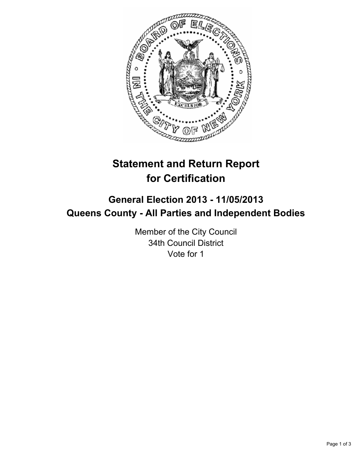

# **Statement and Return Report for Certification**

## **General Election 2013 - 11/05/2013 Queens County - All Parties and Independent Bodies**

Member of the City Council 34th Council District Vote for 1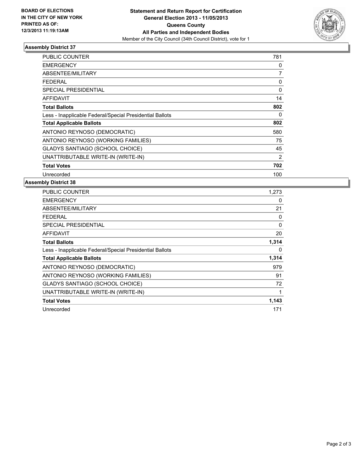

### **Assembly District 37**

| <b>PUBLIC COUNTER</b>                                    | 781      |
|----------------------------------------------------------|----------|
| <b>EMERGENCY</b>                                         | 0        |
| ABSENTEE/MILITARY                                        | 7        |
| <b>FEDERAL</b>                                           | 0        |
| SPECIAL PRESIDENTIAL                                     | $\Omega$ |
| AFFIDAVIT                                                | 14       |
| <b>Total Ballots</b>                                     | 802      |
| Less - Inapplicable Federal/Special Presidential Ballots | 0        |
| <b>Total Applicable Ballots</b>                          | 802      |
| ANTONIO REYNOSO (DEMOCRATIC)                             | 580      |
| ANTONIO REYNOSO (WORKING FAMILIES)                       | 75       |
| <b>GLADYS SANTIAGO (SCHOOL CHOICE)</b>                   | 45       |
| UNATTRIBUTABLE WRITE-IN (WRITE-IN)                       | 2        |
| <b>Total Votes</b>                                       | 702      |
| Unrecorded                                               | 100      |

#### **Assembly District 38**

| <b>PUBLIC COUNTER</b>                                    | 1,273 |
|----------------------------------------------------------|-------|
| <b>EMERGENCY</b>                                         | 0     |
| ABSENTEE/MILITARY                                        | 21    |
| <b>FEDERAL</b>                                           | 0     |
| <b>SPECIAL PRESIDENTIAL</b>                              | 0     |
| <b>AFFIDAVIT</b>                                         | 20    |
| <b>Total Ballots</b>                                     | 1,314 |
| Less - Inapplicable Federal/Special Presidential Ballots | 0     |
| <b>Total Applicable Ballots</b>                          | 1,314 |
| ANTONIO REYNOSO (DEMOCRATIC)                             | 979   |
| ANTONIO REYNOSO (WORKING FAMILIES)                       | 91    |
| <b>GLADYS SANTIAGO (SCHOOL CHOICE)</b>                   | 72    |
| UNATTRIBUTABLE WRITE-IN (WRITE-IN)                       | 1     |
| <b>Total Votes</b>                                       | 1,143 |
| Unrecorded                                               | 171   |